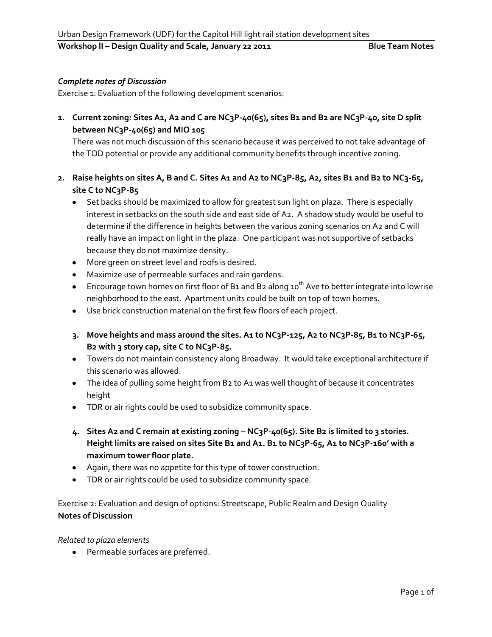**Workshop II - Design Quality and Scale, January 22 2011 Blue Team Notes** 

## *Complete notes of Discussion*

Exercise 1: Evaluation of the following development scenarios:

**1. Current zoning: Sites A1, A2 and C are NC3P-40(65), sites B1 and B2 are NC3P-40, site D split between NC3P-40(65) and MIO 105**

There was not much discussion of this scenario because it was perceived to not take advantage of the TOD potential or provide any additional community benefits through incentive zoning.

- **2. Raise heights on sites A, B and C. Sites A1 and A2 to NC3P-85, A2, sites B1 and B2 to NC3-65, site C to NC3P-85**
	- Set backs should be maximized to allow for greatest sun light on plaza. There is especially interest in setbacks on the south side and east side of A2. A shadow study would be useful to determine if the difference in heights between the various zoning scenarios on A2 and C will really have an impact on light in the plaza. One participant was not supportive of setbacks because they do not maximize density.
	- More green on street level and roofs is desired.
	- Maximize use of permeable surfaces and rain gardens.
	- **Encourage town homes on first floor of B1 and B2 along 10<sup>th</sup> Ave to better integrate into lowrise** neighborhood to the east. Apartment units could be built on top of town homes.
	- Use brick construction material on the first few floors of each project.
	- **3. Move heights and mass around the sites. A1 to NC3P-125, A2 to NC3P-85, B1 to NC3P-65, B2 with 3 story cap, site C to NC3P-85.**
	- Towers do not maintain consistency along Broadway. It would take exceptional architecture if this scenario was allowed.
	- The idea of pulling some height from B2 to A1 was well thought of because it concentrates height
	- TDR or air rights could be used to subsidize community space.
	- **4. Sites A2 and C remain at existing zoning – NC3P-40(65). Site B2 is limited to 3 stories. Height limits are raised on sites Site B1 and A1. B1 to NC3P-65, A1 to NC3P-160' with a maximum tower floor plate.**
	- Again, there was no appetite for this type of tower construction.
	- TDR or air rights could be used to subsidize community space.

Exercise 2: Evaluation and design of options: Streetscape, Public Realm and Design Quality **Notes of Discussion**

*Related to plaza elements*

Permeable surfaces are preferred.